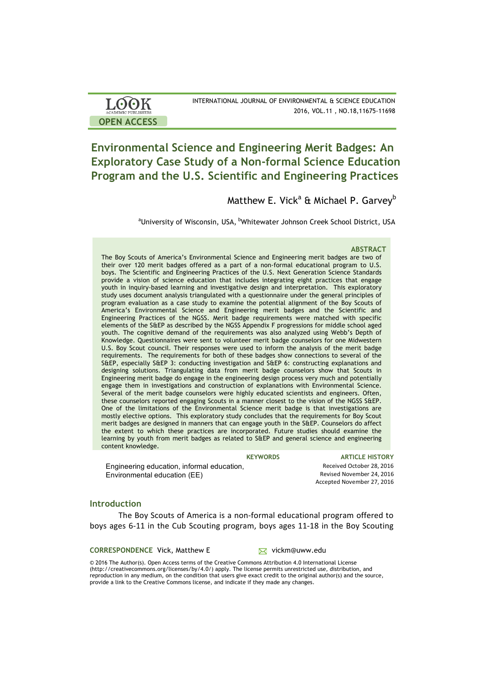| <b>LOOK</b>         | INTERNATIONAL JOURNAL OF ENVIRONMENTAL & SCIENCE EDUCATION |
|---------------------|------------------------------------------------------------|
| ACADEMIC PUBLISHERS | 2016, VOL.11, NO.18,11675-11698                            |
| <b>OPEN ACCESS</b>  |                                                            |

# **Environmental Science and Engineering Merit Badges: An Exploratory Case Study of a Non-formal Science Education Program and the U.S. Scientific and Engineering Practices**

Matthew E. Vick<sup>a</sup> & Michael P. Garvey<sup>b</sup>

<sup>a</sup>University of Wisconsin, USA, <sup>b</sup>Whitewater Johnson Creek School District, USA

### **ABSTRACT**

The Boy Scouts of America's Environmental Science and Engineering merit badges are two of their over 120 merit badges offered as a part of a non-formal educational program to U.S. boys. The Scientific and Engineering Practices of the U.S. Next Generation Science Standards provide a vision of science education that includes integrating eight practices that engage youth in inquiry-based learning and investigative design and interpretation. This exploratory study uses document analysis triangulated with a questionnaire under the general principles of program evaluation as a case study to examine the potential alignment of the Boy Scouts of America's Environmental Science and Engineering merit badges and the Scientific and Engineering Practices of the NGSS. Merit badge requirements were matched with specific elements of the S&EP as described by the NGSS Appendix F progressions for middle school aged youth. The cognitive demand of the requirements was also analyzed using Webb's Depth of Knowledge. Questionnaires were sent to volunteer merit badge counselors for one Midwestern U.S. Boy Scout council. Their responses were used to inform the analysis of the merit badge requirements. The requirements for both of these badges show connections to several of the S&EP, especially S&EP 3: conducting investigation and S&EP 6: constructing explanations and designing solutions. Triangulating data from merit badge counselors show that Scouts in Engineering merit badge do engage in the engineering design process very much and potentially engage them in investigations and construction of explanations with Environmental Science. Several of the merit badge counselors were highly educated scientists and engineers. Often, these counselors reported engaging Scouts in a manner closest to the vision of the NGSS S&EP. One of the limitations of the Environmental Science merit badge is that investigations are mostly elective options. This exploratory study concludes that the requirements for Boy Scout merit badges are designed in manners that can engage youth in the S&EP. Counselors do affect the extent to which these practices are incorporated. Future studies should examine the learning by youth from merit badges as related to S&EP and general science and engineering content knowledge.

**KEYWORDS ARTICLE HISTORY** Received October 28, 2016 Revised November 24, 2016 Accepted November 27, 2016 

### **Introduction**

The Boy Scouts of America is a non-formal educational program offered to boys ages 6-11 in the Cub Scouting program, boys ages 11-18 in the Boy Scouting

**CORRESPONDENCE** Vick, Matthew E vickm@uww.edu

Environmental education (EE)

Engineering education, informal education,

© 2016 The Author(s). Open Access terms of the Creative Commons Attribution 4.0 International License (http://creativecommons.org/licenses/by/4.0/) apply. The license permits unrestricted use, distribution, and reproduction in any medium, on the condition that users give exact credit to the original author(s) and the source, provide a link to the Creative Commons license, and indicate if they made any changes.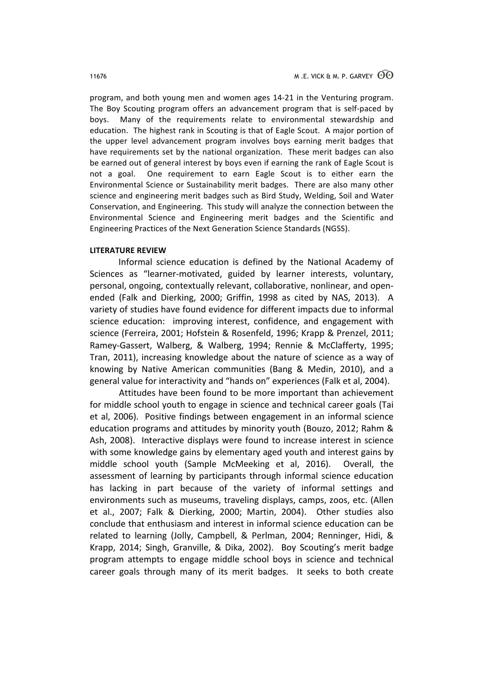program, and both young men and women ages 14-21 in the Venturing program. The Boy Scouting program offers an advancement program that is self-paced by boys. Many of the requirements relate to environmental stewardship and education. The highest rank in Scouting is that of Eagle Scout. A major portion of the upper level advancement program involves boys earning merit badges that have requirements set by the national organization. These merit badges can also be earned out of general interest by boys even if earning the rank of Eagle Scout is not a goal. One requirement to earn Eagle Scout is to either earn the Environmental Science or Sustainability merit badges. There are also many other science and engineering merit badges such as Bird Study, Welding, Soil and Water Conservation, and Engineering. This study will analyze the connection between the Environmental Science and Engineering merit badges and the Scientific and Engineering Practices of the Next Generation Science Standards (NGSS).

### **LITERATURE REVIEW**

Informal science education is defined by the National Academy of Sciences as "learner-motivated, guided by learner interests, voluntary, personal, ongoing, contextually relevant, collaborative, nonlinear, and openended (Falk and Dierking, 2000; Griffin, 1998 as cited by NAS, 2013). A variety of studies have found evidence for different impacts due to informal science education: improving interest, confidence, and engagement with science (Ferreira, 2001; Hofstein & Rosenfeld, 1996; Krapp & Prenzel, 2011; Ramey-Gassert, Walberg, & Walberg, 1994; Rennie & McClafferty, 1995; Tran, 2011), increasing knowledge about the nature of science as a way of knowing by Native American communities (Bang & Medin, 2010), and a general value for interactivity and "hands on" experiences (Falk et al, 2004).

Attitudes have been found to be more important than achievement for middle school youth to engage in science and technical career goals (Tai et al, 2006). Positive findings between engagement in an informal science education programs and attitudes by minority youth (Bouzo, 2012; Rahm & Ash, 2008). Interactive displays were found to increase interest in science with some knowledge gains by elementary aged youth and interest gains by middle school youth (Sample McMeeking et al, 2016). Overall, the assessment of learning by participants through informal science education has lacking in part because of the variety of informal settings and environments such as museums, traveling displays, camps, zoos, etc. (Allen et al., 2007; Falk & Dierking, 2000; Martin, 2004). Other studies also conclude that enthusiasm and interest in informal science education can be related to learning (Jolly, Campbell, & Perlman, 2004; Renninger, Hidi, & Krapp, 2014; Singh, Granville, & Dika, 2002). Boy Scouting's merit badge program attempts to engage middle school boys in science and technical career goals through many of its merit badges. It seeks to both create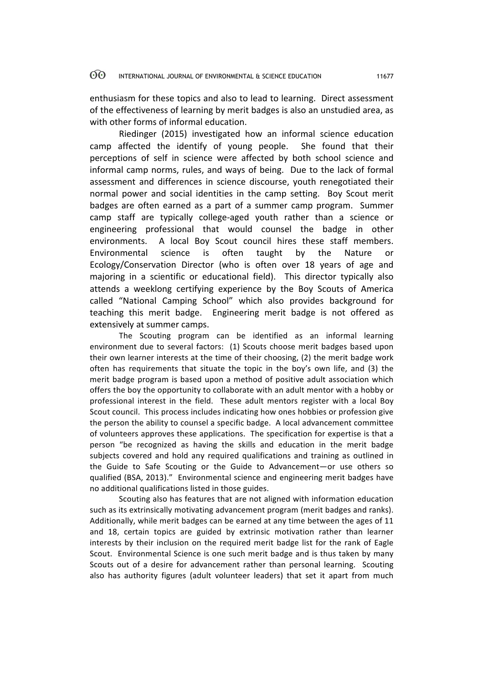enthusiasm for these topics and also to lead to learning. Direct assessment of the effectiveness of learning by merit badges is also an unstudied area, as with other forms of informal education.

Riedinger (2015) investigated how an informal science education camp affected the identify of young people. She found that their perceptions of self in science were affected by both school science and informal camp norms, rules, and ways of being. Due to the lack of formal assessment and differences in science discourse, youth renegotiated their normal power and social identities in the camp setting. Boy Scout merit badges are often earned as a part of a summer camp program. Summer camp staff are typically college-aged youth rather than a science or engineering professional that would counsel the badge in other environments. A local Boy Scout council hires these staff members. Environmental science is often taught by the Nature or Ecology/Conservation Director (who is often over 18 years of age and majoring in a scientific or educational field). This director typically also attends a weeklong certifying experience by the Boy Scouts of America called "National Camping School" which also provides background for teaching this merit badge. Engineering merit badge is not offered as extensively at summer camps.

The Scouting program can be identified as an informal learning environment due to several factors: (1) Scouts choose merit badges based upon their own learner interests at the time of their choosing, (2) the merit badge work often has requirements that situate the topic in the boy's own life, and (3) the merit badge program is based upon a method of positive adult association which offers the boy the opportunity to collaborate with an adult mentor with a hobby or professional interest in the field. These adult mentors register with a local Boy Scout council. This process includes indicating how ones hobbies or profession give the person the ability to counsel a specific badge. A local advancement committee of volunteers approves these applications. The specification for expertise is that a person "be recognized as having the skills and education in the merit badge subjects covered and hold any required qualifications and training as outlined in the Guide to Safe Scouting or the Guide to Advancement-or use others so qualified (BSA, 2013)." Environmental science and engineering merit badges have no additional qualifications listed in those guides.

Scouting also has features that are not aligned with information education such as its extrinsically motivating advancement program (merit badges and ranks). Additionally, while merit badges can be earned at any time between the ages of 11 and 18, certain topics are guided by extrinsic motivation rather than learner interests by their inclusion on the required merit badge list for the rank of Eagle Scout. Environmental Science is one such merit badge and is thus taken by many Scouts out of a desire for advancement rather than personal learning. Scouting also has authority figures (adult volunteer leaders) that set it apart from much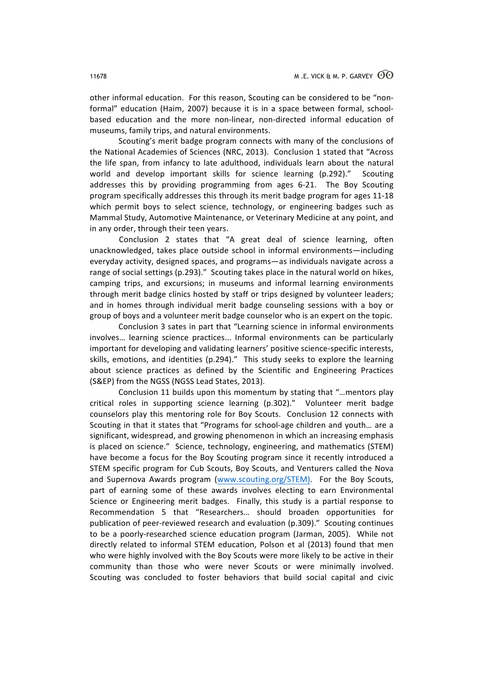other informal education. For this reason, Scouting can be considered to be "nonformal" education (Haim, 2007) because it is in a space between formal, schoolbased education and the more non-linear, non-directed informal education of museums, family trips, and natural environments.

Scouting's merit badge program connects with many of the conclusions of the National Academies of Sciences (NRC, 2013). Conclusion 1 stated that "Across the life span, from infancy to late adulthood, individuals learn about the natural world and develop important skills for science learning (p.292)." Scouting addresses this by providing programming from ages 6-21. The Boy Scouting program specifically addresses this through its merit badge program for ages 11-18 which permit boys to select science, technology, or engineering badges such as Mammal Study, Automotive Maintenance, or Veterinary Medicine at any point, and in any order, through their teen years.

Conclusion 2 states that "A great deal of science learning, often unacknowledged, takes place outside school in informal environments—including everyday activity, designed spaces, and programs—as individuals navigate across a range of social settings (p.293)." Scouting takes place in the natural world on hikes, camping trips, and excursions; in museums and informal learning environments through merit badge clinics hosted by staff or trips designed by volunteer leaders; and in homes through individual merit badge counseling sessions with a boy or group of boys and a volunteer merit badge counselor who is an expert on the topic.

Conclusion 3 sates in part that "Learning science in informal environments involves... learning science practices... Informal environments can be particularly important for developing and validating learners' positive science-specific interests, skills, emotions, and identities (p.294)." This study seeks to explore the learning about science practices as defined by the Scientific and Engineering Practices (S&EP) from the NGSS (NGSS Lead States, 2013).

Conclusion 11 builds upon this momentum by stating that "...mentors play critical roles in supporting science learning  $(p.302)$ ." Volunteer merit badge counselors play this mentoring role for Boy Scouts. Conclusion 12 connects with Scouting in that it states that "Programs for school-age children and youth... are a significant, widespread, and growing phenomenon in which an increasing emphasis is placed on science." Science, technology, engineering, and mathematics (STEM) have become a focus for the Boy Scouting program since it recently introduced a STEM specific program for Cub Scouts, Boy Scouts, and Venturers called the Nova and Supernova Awards program (www.scouting.org/STEM). For the Boy Scouts, part of earning some of these awards involves electing to earn Environmental Science or Engineering merit badges. Finally, this study is a partial response to Recommendation 5 that "Researchers… should broaden opportunities for publication of peer-reviewed research and evaluation (p.309)." Scouting continues to be a poorly-researched science education program (Jarman, 2005). While not directly related to informal STEM education, Polson et al (2013) found that men who were highly involved with the Boy Scouts were more likely to be active in their community than those who were never Scouts or were minimally involved. Scouting was concluded to foster behaviors that build social capital and civic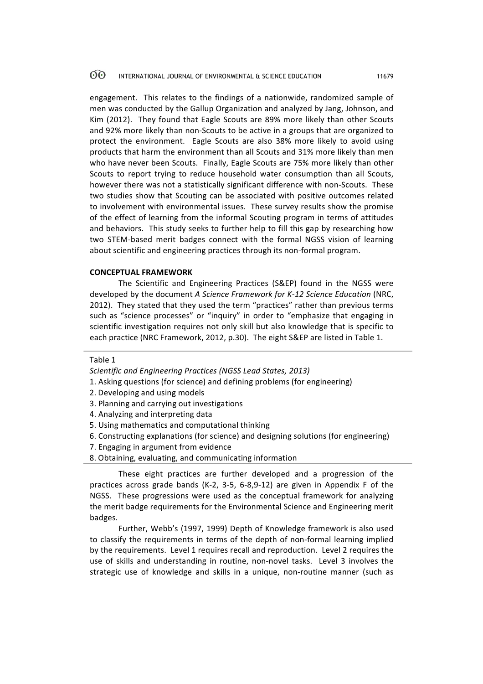engagement. This relates to the findings of a nationwide, randomized sample of men was conducted by the Gallup Organization and analyzed by Jang, Johnson, and Kim (2012). They found that Eagle Scouts are 89% more likely than other Scouts and 92% more likely than non-Scouts to be active in a groups that are organized to protect the environment. Eagle Scouts are also 38% more likely to avoid using products that harm the environment than all Scouts and 31% more likely than men who have never been Scouts. Finally, Eagle Scouts are 75% more likely than other Scouts to report trying to reduce household water consumption than all Scouts, however there was not a statistically significant difference with non-Scouts. These two studies show that Scouting can be associated with positive outcomes related to involvement with environmental issues. These survey results show the promise of the effect of learning from the informal Scouting program in terms of attitudes and behaviors. This study seeks to further help to fill this gap by researching how two STEM-based merit badges connect with the formal NGSS vision of learning about scientific and engineering practices through its non-formal program.

### **CONCEPTUAL FRAMEWORK**

The Scientific and Engineering Practices (S&EP) found in the NGSS were developed by the document *A Science Framework for K-12 Science Education* (NRC, 2012). They stated that they used the term "practices" rather than previous terms such as "science processes" or "inquiry" in order to "emphasize that engaging in scientific investigation requires not only skill but also knowledge that is specific to each practice (NRC Framework, 2012, p.30). The eight S&EP are listed in Table 1.

## Table 1

- 1. Asking questions (for science) and defining problems (for engineering)
- 2. Developing and using models
- 3. Planning and carrying out investigations
- 4. Analyzing and interpreting data
- 5. Using mathematics and computational thinking
- 6. Constructing explanations (for science) and designing solutions (for engineering)
- 7. Engaging in argument from evidence
- 8. Obtaining, evaluating, and communicating information

These eight practices are further developed and a progression of the practices across grade bands  $(K-2, 3-5, 6-8,9-12)$  are given in Appendix F of the NGSS. These progressions were used as the conceptual framework for analyzing the merit badge requirements for the Environmental Science and Engineering merit badges.

Further, Webb's (1997, 1999) Depth of Knowledge framework is also used to classify the requirements in terms of the depth of non-formal learning implied by the requirements. Level 1 requires recall and reproduction. Level 2 requires the use of skills and understanding in routine, non-novel tasks. Level 3 involves the strategic use of knowledge and skills in a unique, non-routine manner (such as

*Scientific and Engineering Practices (NGSS Lead States, 2013)*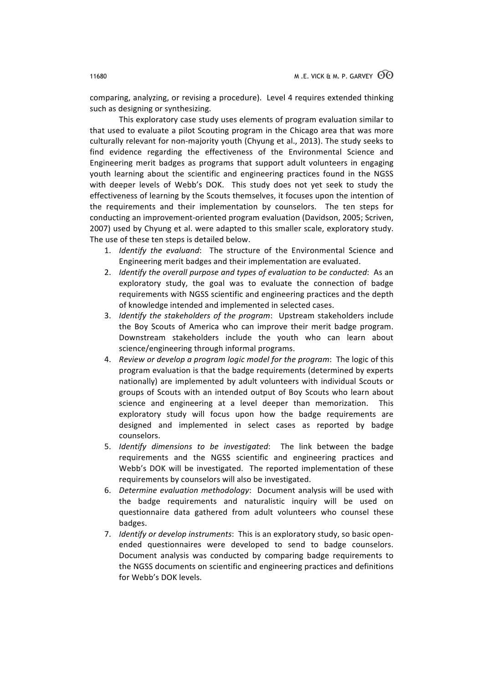comparing, analyzing, or revising a procedure). Level 4 requires extended thinking such as designing or synthesizing.

This exploratory case study uses elements of program evaluation similar to that used to evaluate a pilot Scouting program in the Chicago area that was more culturally relevant for non-majority youth (Chyung et al., 2013). The study seeks to find evidence regarding the effectiveness of the Environmental Science and Engineering merit badges as programs that support adult volunteers in engaging youth learning about the scientific and engineering practices found in the NGSS with deeper levels of Webb's DOK. This study does not yet seek to study the effectiveness of learning by the Scouts themselves, it focuses upon the intention of the requirements and their implementation by counselors. The ten steps for conducting an improvement-oriented program evaluation (Davidson, 2005; Scriven, 2007) used by Chyung et al. were adapted to this smaller scale, exploratory study. The use of these ten steps is detailed below.

- 1. *Identify the evaluand*: The structure of the Environmental Science and Engineering merit badges and their implementation are evaluated.
- 2. *Identify the overall purpose and types of evaluation to be conducted*: As an exploratory study, the goal was to evaluate the connection of badge requirements with NGSS scientific and engineering practices and the depth of knowledge intended and implemented in selected cases.
- 3. *Identify the stakeholders of the program*: Upstream stakeholders include the Boy Scouts of America who can improve their merit badge program. Downstream stakeholders include the youth who can learn about science/engineering through informal programs.
- 4. Review or develop a program logic model for the program: The logic of this program evaluation is that the badge requirements (determined by experts nationally) are implemented by adult volunteers with individual Scouts or groups of Scouts with an intended output of Boy Scouts who learn about science and engineering at a level deeper than memorization. This exploratory study will focus upon how the badge requirements are designed and implemented in select cases as reported by badge counselors.
- 5. *Identify dimensions to be investigated*: The link between the badge requirements and the NGSS scientific and engineering practices and Webb's DOK will be investigated. The reported implementation of these requirements by counselors will also be investigated.
- 6. *Determine evaluation methodology*: Document analysis will be used with the badge requirements and naturalistic inquiry will be used on questionnaire data gathered from adult volunteers who counsel these badges.
- 7. *Identify or develop instruments*: This is an exploratory study, so basic openended questionnaires were developed to send to badge counselors. Document analysis was conducted by comparing badge requirements to the NGSS documents on scientific and engineering practices and definitions for Webb's DOK levels.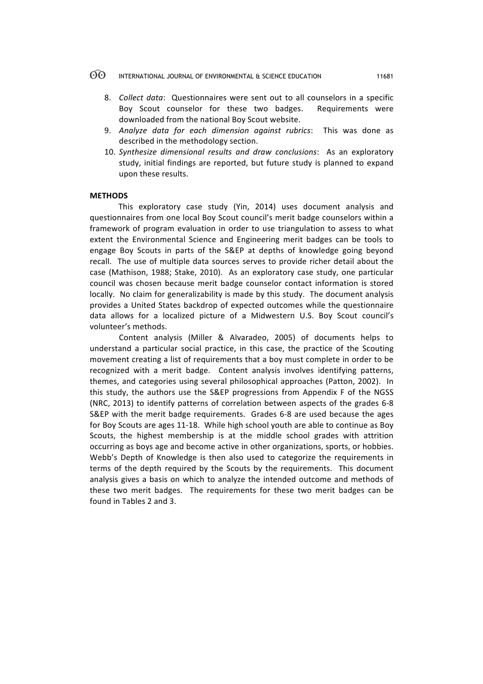- 8. *Collect data*: Questionnaires were sent out to all counselors in a specific Boy Scout counselor for these two badges. Requirements were downloaded from the national Boy Scout website.
- 9. Analyze data for each dimension against rubrics: This was done as described in the methodology section.
- 10. Synthesize dimensional results and draw conclusions: As an exploratory study, initial findings are reported, but future study is planned to expand upon these results.

## **METHODS**

This exploratory case study (Yin, 2014) uses document analysis and questionnaires from one local Boy Scout council's merit badge counselors within a framework of program evaluation in order to use triangulation to assess to what extent the Environmental Science and Engineering merit badges can be tools to engage Boy Scouts in parts of the S&EP at depths of knowledge going beyond recall. The use of multiple data sources serves to provide richer detail about the case (Mathison, 1988; Stake, 2010). As an exploratory case study, one particular council was chosen because merit badge counselor contact information is stored locally. No claim for generalizability is made by this study. The document analysis provides a United States backdrop of expected outcomes while the questionnaire data allows for a localized picture of a Midwestern U.S. Boy Scout council's volunteer's methods.

Content analysis (Miller & Alvaradeo, 2005) of documents helps to understand a particular social practice, in this case, the practice of the Scouting movement creating a list of requirements that a boy must complete in order to be recognized with a merit badge. Content analysis involves identifying patterns, themes, and categories using several philosophical approaches (Patton, 2002). In this study, the authors use the S&EP progressions from Appendix F of the NGSS (NRC, 2013) to identify patterns of correlation between aspects of the grades 6-8 S&EP with the merit badge requirements. Grades 6-8 are used because the ages for Boy Scouts are ages 11-18. While high school youth are able to continue as Boy Scouts, the highest membership is at the middle school grades with attrition occurring as boys age and become active in other organizations, sports, or hobbies. Webb's Depth of Knowledge is then also used to categorize the requirements in terms of the depth required by the Scouts by the requirements. This document analysis gives a basis on which to analyze the intended outcome and methods of these two merit badges. The requirements for these two merit badges can be found in Tables 2 and 3.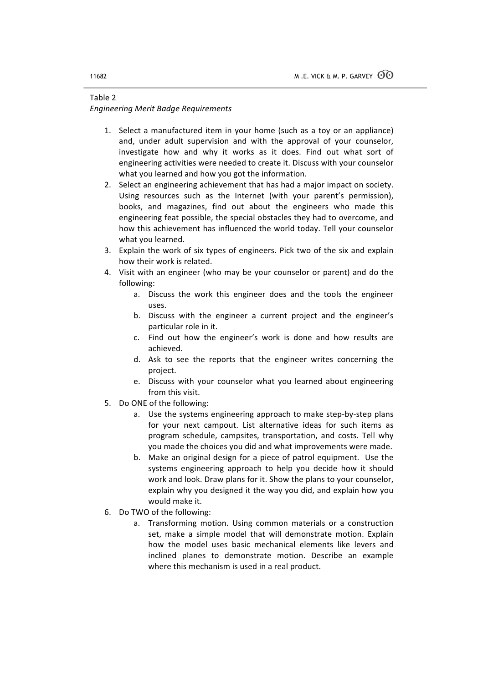## Table 2

## *Engineering Merit Badge Requirements*

- 1. Select a manufactured item in your home (such as a toy or an appliance) and, under adult supervision and with the approval of your counselor, investigate how and why it works as it does. Find out what sort of engineering activities were needed to create it. Discuss with your counselor what you learned and how you got the information.
- 2. Select an engineering achievement that has had a major impact on society. Using resources such as the Internet (with your parent's permission), books, and magazines, find out about the engineers who made this engineering feat possible, the special obstacles they had to overcome, and how this achievement has influenced the world today. Tell your counselor what you learned.
- 3. Explain the work of six types of engineers. Pick two of the six and explain how their work is related.
- 4. Visit with an engineer (who may be your counselor or parent) and do the following:
	- a. Discuss the work this engineer does and the tools the engineer uses.
	- b. Discuss with the engineer a current project and the engineer's particular role in it.
	- c. Find out how the engineer's work is done and how results are achieved.
	- d. Ask to see the reports that the engineer writes concerning the project.
	- e. Discuss with your counselor what you learned about engineering from this visit.
- 5. Do ONE of the following:
	- a. Use the systems engineering approach to make step-by-step plans for your next campout. List alternative ideas for such items as program schedule, campsites, transportation, and costs. Tell why you made the choices you did and what improvements were made.
	- b. Make an original design for a piece of patrol equipment. Use the systems engineering approach to help you decide how it should work and look. Draw plans for it. Show the plans to your counselor, explain why you designed it the way you did, and explain how you would make it.
- 6. Do TWO of the following:
	- a. Transforming motion. Using common materials or a construction set, make a simple model that will demonstrate motion. Explain how the model uses basic mechanical elements like levers and inclined planes to demonstrate motion. Describe an example where this mechanism is used in a real product.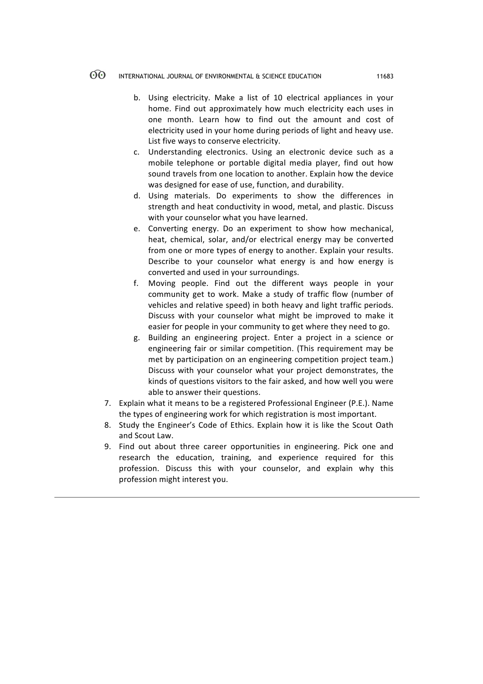- b. Using electricity. Make a list of 10 electrical appliances in your home. Find out approximately how much electricity each uses in one month. Learn how to find out the amount and cost of electricity used in your home during periods of light and heavy use. List five ways to conserve electricity.
- c. Understanding electronics. Using an electronic device such as a mobile telephone or portable digital media player, find out how sound travels from one location to another. Explain how the device was designed for ease of use, function, and durability.
- d. Using materials. Do experiments to show the differences in strength and heat conductivity in wood, metal, and plastic. Discuss with your counselor what you have learned.
- e. Converting energy. Do an experiment to show how mechanical, heat, chemical, solar, and/or electrical energy may be converted from one or more types of energy to another. Explain your results. Describe to your counselor what energy is and how energy is converted and used in your surroundings.
- f. Moving people. Find out the different ways people in your community get to work. Make a study of traffic flow (number of vehicles and relative speed) in both heavy and light traffic periods. Discuss with your counselor what might be improved to make it easier for people in your community to get where they need to go.
- g. Building an engineering project. Enter a project in a science or engineering fair or similar competition. (This requirement may be met by participation on an engineering competition project team.) Discuss with your counselor what your project demonstrates, the kinds of questions visitors to the fair asked, and how well you were able to answer their questions.
- 7. Explain what it means to be a registered Professional Engineer (P.E.). Name the types of engineering work for which registration is most important.
- 8. Study the Engineer's Code of Ethics. Explain how it is like the Scout Oath and Scout Law.
- 9. Find out about three career opportunities in engineering. Pick one and research the education, training, and experience required for this profession. Discuss this with your counselor, and explain why this profession might interest you.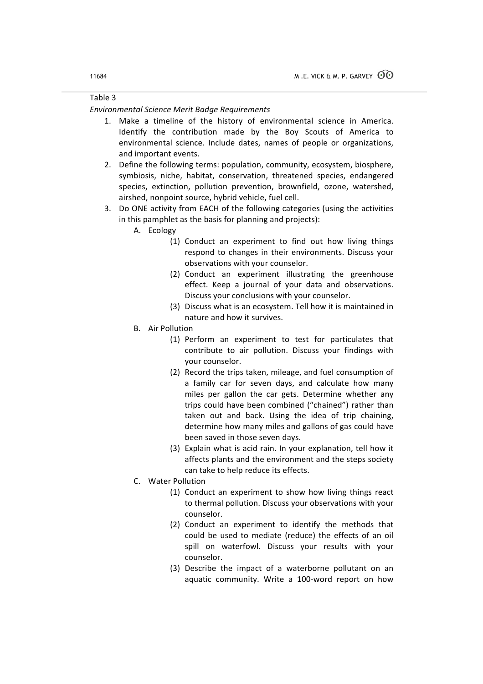## Table 3

*Environmental Science Merit Badge Requirements*

- 1. Make a timeline of the history of environmental science in America. Identify the contribution made by the Boy Scouts of America to environmental science. Include dates, names of people or organizations, and important events.
- 2. Define the following terms: population, community, ecosystem, biosphere, symbiosis, niche, habitat, conservation, threatened species, endangered species, extinction, pollution prevention, brownfield, ozone, watershed, airshed, nonpoint source, hybrid vehicle, fuel cell.
- 3. Do ONE activity from EACH of the following categories (using the activities in this pamphlet as the basis for planning and projects):
	- A. Ecology
		- (1) Conduct an experiment to find out how living things respond to changes in their environments. Discuss your observations with your counselor.
		- (2) Conduct an experiment illustrating the greenhouse effect. Keep a journal of your data and observations. Discuss your conclusions with your counselor.
		- (3) Discuss what is an ecosystem. Tell how it is maintained in nature and how it survives.
	- B. Air Pollution
		- (1) Perform an experiment to test for particulates that contribute to air pollution. Discuss your findings with your counselor.
		- (2) Record the trips taken, mileage, and fuel consumption of a family car for seven days, and calculate how many miles per gallon the car gets. Determine whether any trips could have been combined ("chained") rather than taken out and back. Using the idea of trip chaining, determine how many miles and gallons of gas could have been saved in those seven days.
		- (3) Explain what is acid rain. In your explanation, tell how it affects plants and the environment and the steps society can take to help reduce its effects.
	- C. Water Pollution
		- (1) Conduct an experiment to show how living things react to thermal pollution. Discuss your observations with your counselor.
		- (2) Conduct an experiment to identify the methods that could be used to mediate (reduce) the effects of an oil spill on waterfowl. Discuss your results with your counselor.
		- (3) Describe the impact of a waterborne pollutant on an aquatic community. Write a 100-word report on how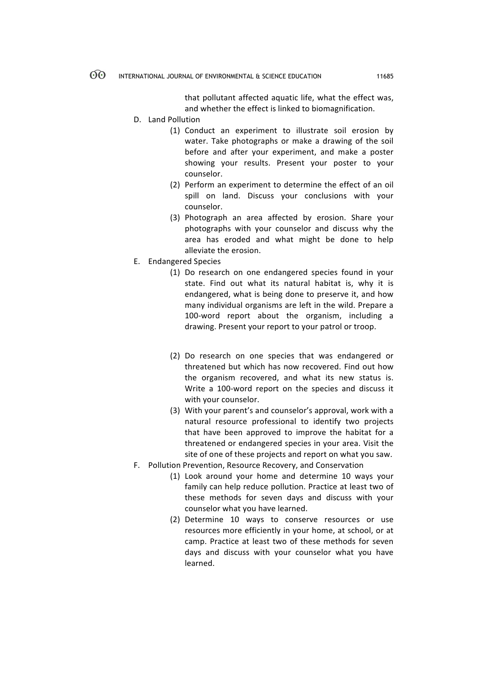that pollutant affected aquatic life, what the effect was, and whether the effect is linked to biomagnification.

- D. Land Pollution
	- (1) Conduct an experiment to illustrate soil erosion by water. Take photographs or make a drawing of the soil before and after your experiment, and make a poster showing your results. Present your poster to your counselor.
	- (2) Perform an experiment to determine the effect of an oil spill on land. Discuss your conclusions with your counselor.
	- (3) Photograph an area affected by erosion. Share your photographs with your counselor and discuss why the area has eroded and what might be done to help alleviate the erosion.
- E. Endangered Species
	- (1) Do research on one endangered species found in your state. Find out what its natural habitat is, why it is endangered, what is being done to preserve it, and how many individual organisms are left in the wild. Prepare a 100-word report about the organism, including a drawing. Present your report to your patrol or troop.
	- (2) Do research on one species that was endangered or threatened but which has now recovered. Find out how the organism recovered, and what its new status is. Write a 100-word report on the species and discuss it with your counselor.
	- (3) With your parent's and counselor's approval, work with a natural resource professional to identify two projects that have been approved to improve the habitat for a threatened or endangered species in your area. Visit the site of one of these projects and report on what you saw.
- F. Pollution Prevention, Resource Recovery, and Conservation
	- (1) Look around your home and determine 10 ways your family can help reduce pollution. Practice at least two of these methods for seven days and discuss with your counselor what you have learned.
	- (2) Determine 10 ways to conserve resources or use resources more efficiently in your home, at school, or at camp. Practice at least two of these methods for seven days and discuss with your counselor what you have learned.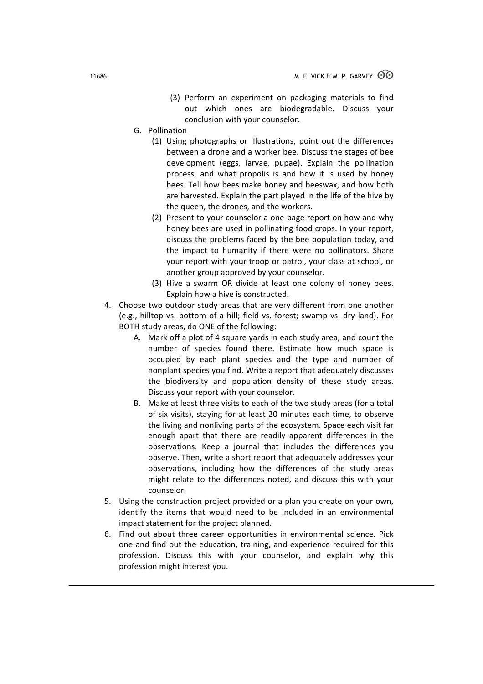- (3) Perform an experiment on packaging materials to find out which ones are biodegradable. Discuss your conclusion with your counselor.
- G. Pollination
	- (1) Using photographs or illustrations, point out the differences between a drone and a worker bee. Discuss the stages of bee development (eggs, larvae, pupae). Explain the pollination process, and what propolis is and how it is used by honey bees. Tell how bees make honey and beeswax, and how both are harvested. Explain the part played in the life of the hive by the queen, the drones, and the workers.
	- (2) Present to your counselor a one-page report on how and why honey bees are used in pollinating food crops. In your report, discuss the problems faced by the bee population today, and the impact to humanity if there were no pollinators. Share your report with your troop or patrol, your class at school, or another group approved by your counselor.
	- (3) Hive a swarm OR divide at least one colony of honey bees. Explain how a hive is constructed.
- 4. Choose two outdoor study areas that are very different from one another (e.g., hilltop vs. bottom of a hill; field vs. forest; swamp vs. dry land). For BOTH study areas, do ONE of the following:
	- A. Mark off a plot of 4 square yards in each study area, and count the number of species found there. Estimate how much space is occupied by each plant species and the type and number of nonplant species you find. Write a report that adequately discusses the biodiversity and population density of these study areas. Discuss your report with your counselor.
	- B. Make at least three visits to each of the two study areas (for a total of six visits), staving for at least 20 minutes each time, to observe the living and nonliving parts of the ecosystem. Space each visit far enough apart that there are readily apparent differences in the observations. Keep a journal that includes the differences you observe. Then, write a short report that adequately addresses your observations, including how the differences of the study areas might relate to the differences noted, and discuss this with your counselor.
- 5. Using the construction project provided or a plan you create on your own, identify the items that would need to be included in an environmental impact statement for the project planned.
- 6. Find out about three career opportunities in environmental science. Pick one and find out the education, training, and experience required for this profession. Discuss this with your counselor, and explain why this profession might interest you.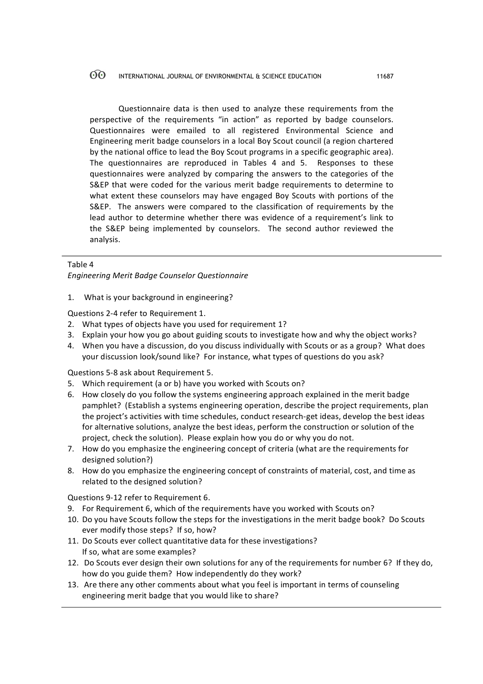Questionnaire data is then used to analyze these requirements from the perspective of the requirements "in action" as reported by badge counselors. Questionnaires were emailed to all registered Environmental Science and Engineering merit badge counselors in a local Boy Scout council (a region chartered by the national office to lead the Boy Scout programs in a specific geographic area). The questionnaires are reproduced in Tables 4 and 5. Responses to these questionnaires were analyzed by comparing the answers to the categories of the S&EP that were coded for the various merit badge requirements to determine to what extent these counselors may have engaged Boy Scouts with portions of the S&EP. The answers were compared to the classification of requirements by the lead author to determine whether there was evidence of a requirement's link to the S&EP being implemented by counselors. The second author reviewed the analysis.

## Table 4

*Engineering Merit Badge Counselor Questionnaire*

1. What is your background in engineering?

Questions 2-4 refer to Requirement 1.

- 2. What types of objects have you used for requirement 1?
- 3. Explain your how you go about guiding scouts to investigate how and why the object works?
- 4. When you have a discussion, do you discuss individually with Scouts or as a group? What does your discussion look/sound like? For instance, what types of questions do you ask?

## Questions 5-8 ask about Requirement 5.

- 5. Which requirement (a or b) have you worked with Scouts on?
- 6. How closely do you follow the systems engineering approach explained in the merit badge pamphlet? (Establish a systems engineering operation, describe the project requirements, plan the project's activities with time schedules, conduct research-get ideas, develop the best ideas for alternative solutions, analyze the best ideas, perform the construction or solution of the project, check the solution). Please explain how you do or why you do not.
- 7. How do you emphasize the engineering concept of criteria (what are the requirements for designed solution?)
- 8. How do you emphasize the engineering concept of constraints of material, cost, and time as related to the designed solution?

Questions 9-12 refer to Requirement 6.

- 9. For Requirement 6, which of the requirements have you worked with Scouts on?
- 10. Do you have Scouts follow the steps for the investigations in the merit badge book? Do Scouts ever modify those steps? If so, how?
- 11. Do Scouts ever collect quantitative data for these investigations? If so, what are some examples?
- 12. Do Scouts ever design their own solutions for any of the requirements for number 6? If they do, how do you guide them? How independently do they work?
- 13. Are there any other comments about what you feel is important in terms of counseling engineering merit badge that you would like to share?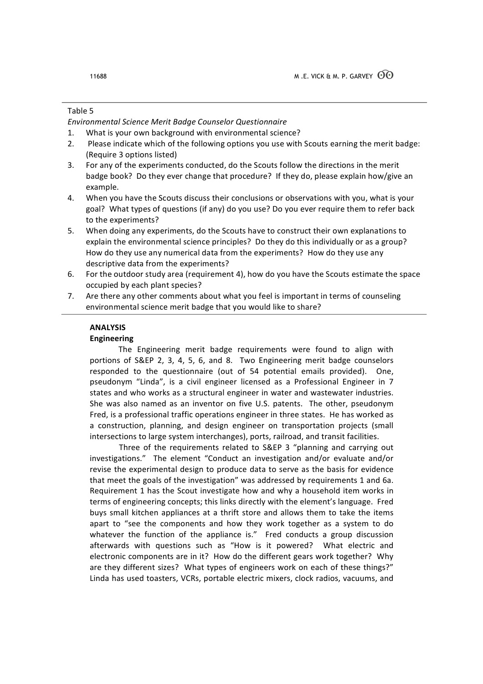## Table 5

*Environmental Science Merit Badge Counselor Questionnaire*

- 1. What is your own background with environmental science?
- 2. Please indicate which of the following options you use with Scouts earning the merit badge: (Require 3 options listed)
- 3. For any of the experiments conducted, do the Scouts follow the directions in the merit badge book? Do they ever change that procedure? If they do, please explain how/give an example.
- 4. When you have the Scouts discuss their conclusions or observations with you, what is your goal? What types of questions (if any) do you use? Do you ever require them to refer back to the experiments?
- 5. When doing any experiments, do the Scouts have to construct their own explanations to explain the environmental science principles? Do they do this individually or as a group? How do they use any numerical data from the experiments? How do they use any descriptive data from the experiments?
- 6. For the outdoor study area (requirement 4), how do you have the Scouts estimate the space occupied by each plant species?
- 7. Are there any other comments about what you feel is important in terms of counseling environmental science merit badge that you would like to share?

## **ANALYSIS**

## **Engineering**

The Engineering merit badge requirements were found to align with portions of S&EP 2, 3, 4, 5, 6, and 8. Two Engineering merit badge counselors responded to the questionnaire (out of 54 potential emails provided). One, pseudonym "Linda", is a civil engineer licensed as a Professional Engineer in 7 states and who works as a structural engineer in water and wastewater industries. She was also named as an inventor on five U.S. patents. The other, pseudonym Fred, is a professional traffic operations engineer in three states. He has worked as a construction, planning, and design engineer on transportation projects (small intersections to large system interchanges), ports, railroad, and transit facilities.

Three of the requirements related to S&EP 3 "planning and carrying out investigations." The element "Conduct an investigation and/or evaluate and/or revise the experimental design to produce data to serve as the basis for evidence that meet the goals of the investigation" was addressed by requirements 1 and 6a. Requirement 1 has the Scout investigate how and why a household item works in terms of engineering concepts; this links directly with the element's language. Fred buys small kitchen appliances at a thrift store and allows them to take the items apart to "see the components and how they work together as a system to do whatever the function of the appliance is." Fred conducts a group discussion afterwards with questions such as "How is it powered? What electric and electronic components are in it? How do the different gears work together? Why are they different sizes? What types of engineers work on each of these things?" Linda has used toasters, VCRs, portable electric mixers, clock radios, vacuums, and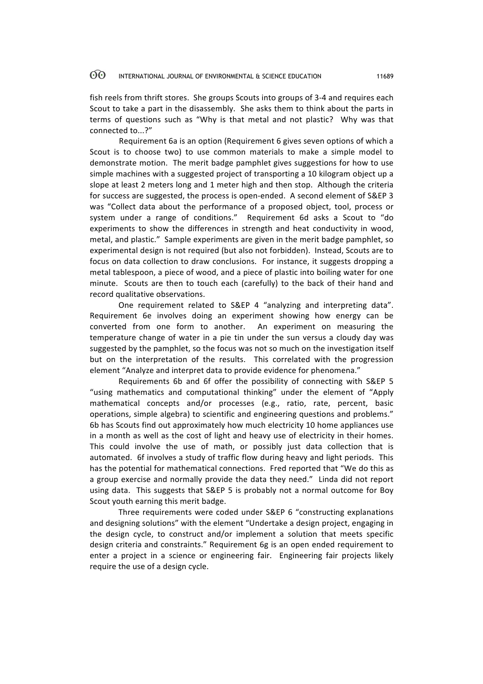fish reels from thrift stores. She groups Scouts into groups of 3-4 and requires each Scout to take a part in the disassembly. She asks them to think about the parts in terms of questions such as "Why is that metal and not plastic? Why was that connected to...?"

Requirement 6a is an option (Requirement 6 gives seven options of which a Scout is to choose two) to use common materials to make a simple model to demonstrate motion. The merit badge pamphlet gives suggestions for how to use simple machines with a suggested project of transporting a 10 kilogram object up a slope at least 2 meters long and 1 meter high and then stop. Although the criteria for success are suggested, the process is open-ended. A second element of S&EP 3 was "Collect data about the performance of a proposed object, tool, process or system under a range of conditions." Requirement 6d asks a Scout to "do experiments to show the differences in strength and heat conductivity in wood, metal, and plastic." Sample experiments are given in the merit badge pamphlet, so experimental design is not required (but also not forbidden). Instead, Scouts are to focus on data collection to draw conclusions. For instance, it suggests dropping a metal tablespoon, a piece of wood, and a piece of plastic into boiling water for one minute. Scouts are then to touch each (carefully) to the back of their hand and record qualitative observations.

One requirement related to S&EP 4 "analyzing and interpreting data". Requirement 6e involves doing an experiment showing how energy can be converted from one form to another. An experiment on measuring the temperature change of water in a pie tin under the sun versus a cloudy day was suggested by the pamphlet, so the focus was not so much on the investigation itself but on the interpretation of the results. This correlated with the progression element "Analyze and interpret data to provide evidence for phenomena."

Requirements 6b and 6f offer the possibility of connecting with S&EP 5 "using mathematics and computational thinking" under the element of "Apply mathematical concepts and/or processes (e.g., ratio, rate, percent, basic operations, simple algebra) to scientific and engineering questions and problems." 6b has Scouts find out approximately how much electricity 10 home appliances use in a month as well as the cost of light and heavy use of electricity in their homes. This could involve the use of math, or possibly just data collection that is automated. Gf involves a study of traffic flow during heavy and light periods. This has the potential for mathematical connections. Fred reported that "We do this as a group exercise and normally provide the data they need." Linda did not report using data. This suggests that S&EP 5 is probably not a normal outcome for Boy Scout youth earning this merit badge.

Three requirements were coded under S&EP 6 "constructing explanations and designing solutions" with the element "Undertake a design project, engaging in the design cycle, to construct and/or implement a solution that meets specific design criteria and constraints." Requirement 6g is an open ended requirement to enter a project in a science or engineering fair. Engineering fair projects likely require the use of a design cycle.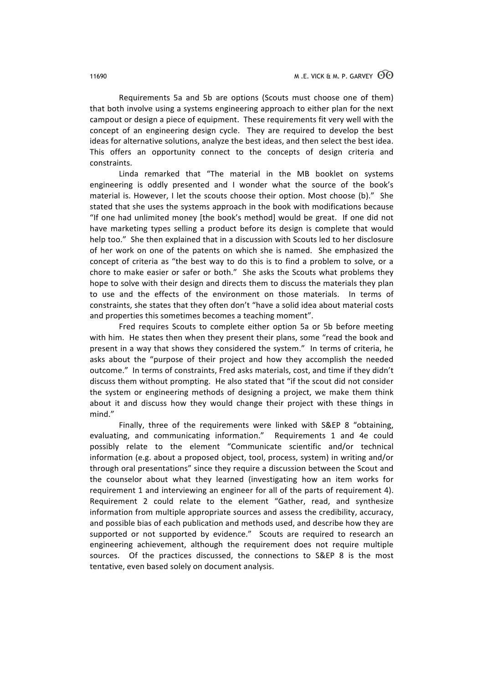Requirements 5a and 5b are options (Scouts must choose one of them) that both involve using a systems engineering approach to either plan for the next campout or design a piece of equipment. These requirements fit very well with the concept of an engineering design cycle. They are required to develop the best ideas for alternative solutions, analyze the best ideas, and then select the best idea. This offers an opportunity connect to the concepts of design criteria and constraints. 

Linda remarked that "The material in the MB booklet on systems engineering is oddly presented and I wonder what the source of the book's material is. However, I let the scouts choose their option. Most choose (b)." She stated that she uses the systems approach in the book with modifications because "If one had unlimited money [the book's method] would be great. If one did not have marketing types selling a product before its design is complete that would help too." She then explained that in a discussion with Scouts led to her disclosure of her work on one of the patents on which she is named. She emphasized the concept of criteria as "the best way to do this is to find a problem to solve, or a chore to make easier or safer or both." She asks the Scouts what problems they hope to solve with their design and directs them to discuss the materials they plan to use and the effects of the environment on those materials. In terms of constraints, she states that they often don't "have a solid idea about material costs and properties this sometimes becomes a teaching moment".

Fred requires Scouts to complete either option 5a or 5b before meeting with him. He states then when they present their plans, some "read the book and present in a way that shows they considered the system." In terms of criteria, he asks about the "purpose of their project and how they accomplish the needed outcome." In terms of constraints, Fred asks materials, cost, and time if they didn't discuss them without prompting. He also stated that "if the scout did not consider the system or engineering methods of designing a project, we make them think about it and discuss how they would change their project with these things in mind."

Finally, three of the requirements were linked with S&EP 8 "obtaining, evaluating, and communicating information." Requirements 1 and 4e could possibly relate to the element "Communicate scientific and/or technical information (e.g. about a proposed object, tool, process, system) in writing and/or through oral presentations" since they require a discussion between the Scout and the counselor about what they learned (investigating how an item works for requirement 1 and interviewing an engineer for all of the parts of requirement 4). Requirement 2 could relate to the element "Gather, read, and synthesize information from multiple appropriate sources and assess the credibility, accuracy, and possible bias of each publication and methods used, and describe how they are supported or not supported by evidence." Scouts are required to research an engineering achievement, although the requirement does not require multiple sources. Of the practices discussed, the connections to S&EP 8 is the most tentative, even based solely on document analysis.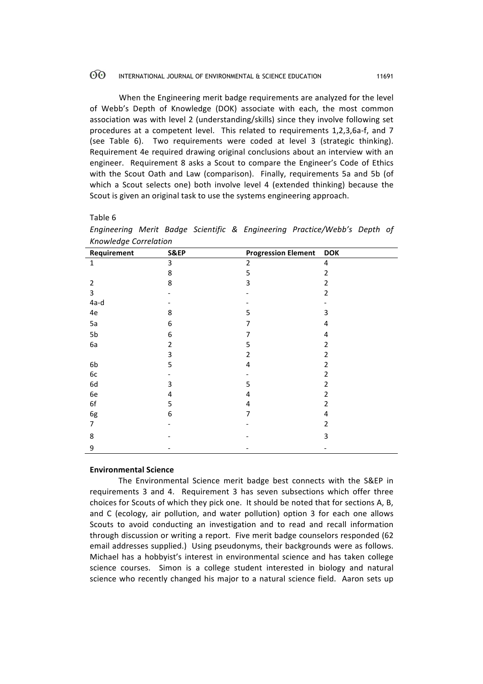When the Engineering merit badge requirements are analyzed for the level of Webb's Depth of Knowledge (DOK) associate with each, the most common association was with level 2 (understanding/skills) since they involve following set procedures at a competent level. This related to requirements 1,2,3,6a-f, and 7 (see Table 6). Two requirements were coded at level 3 (strategic thinking). Requirement 4e required drawing original conclusions about an interview with an engineer. Requirement 8 asks a Scout to compare the Engineer's Code of Ethics with the Scout Oath and Law (comparison). Finally, requirements 5a and 5b (of which a Scout selects one) both involve level 4 (extended thinking) because the Scout is given an original task to use the systems engineering approach.

### Table 6

Engineering Merit Badge Scientific & Engineering Practice/Webb's Depth of *Knowledge Correlation*

| Requirement    | S&EP           | <b>Progression Element</b> | <b>DOK</b>     |
|----------------|----------------|----------------------------|----------------|
| $\mathbf{1}$   | 3              | 2                          | 4              |
|                | 8              | 5                          | $\overline{2}$ |
| $\overline{2}$ | 8              | 3                          | $\overline{2}$ |
| 3              |                |                            | $\overline{2}$ |
| 4a-d           |                |                            |                |
| 4e             | 8              | 5                          | 3              |
| 5a             | 6              |                            | 4              |
| 5b             | 6              | 7                          | 4              |
| 6a             | $\overline{2}$ | 5                          | $\overline{2}$ |
|                | 3              | 2                          | 2              |
| 6b             | 5              | 4                          | 2              |
| 6с             |                |                            | 2              |
| 6d             | 3              | 5                          | $\overline{2}$ |
| 6e             | 4              | 4                          | 2              |
| 6f             | 5              | 4                          | 2              |
| 6g             | 6              |                            | 4              |
| 7              |                |                            | $\overline{2}$ |
| 8              |                |                            | 3              |
| 9              |                |                            |                |

### **Environmental Science**

The Environmental Science merit badge best connects with the S&EP in requirements 3 and 4. Requirement 3 has seven subsections which offer three choices for Scouts of which they pick one. It should be noted that for sections A, B, and C (ecology, air pollution, and water pollution) option 3 for each one allows Scouts to avoid conducting an investigation and to read and recall information through discussion or writing a report. Five merit badge counselors responded (62) email addresses supplied.) Using pseudonyms, their backgrounds were as follows. Michael has a hobbyist's interest in environmental science and has taken college science courses. Simon is a college student interested in biology and natural science who recently changed his major to a natural science field. Aaron sets up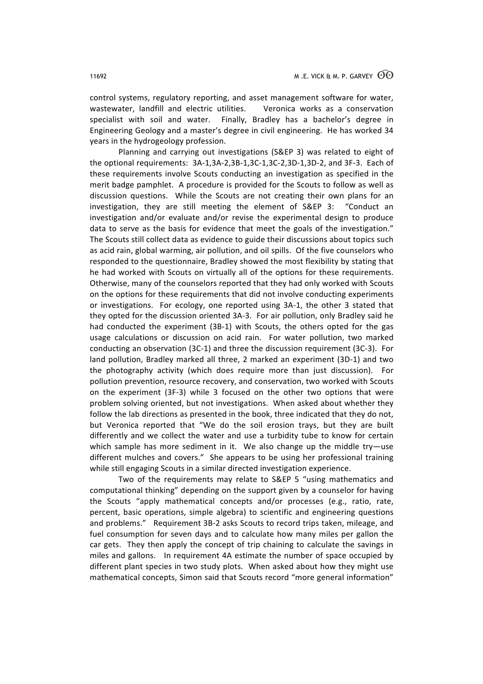control systems, regulatory reporting, and asset management software for water, wastewater, landfill and electric utilities. Veronica works as a conservation specialist with soil and water. Finally, Bradley has a bachelor's degree in Engineering Geology and a master's degree in civil engineering. He has worked 34 years in the hydrogeology profession.

Planning and carrying out investigations (S&EP 3) was related to eight of the optional requirements:  $3A-1,3A-2,3B-1,3C-1,3C-2,3D-1,3D-2$ , and  $3F-3$ . Each of these requirements involve Scouts conducting an investigation as specified in the merit badge pamphlet. A procedure is provided for the Scouts to follow as well as discussion questions. While the Scouts are not creating their own plans for an investigation, they are still meeting the element of S&EP 3: "Conduct an investigation and/or evaluate and/or revise the experimental design to produce data to serve as the basis for evidence that meet the goals of the investigation." The Scouts still collect data as evidence to guide their discussions about topics such as acid rain, global warming, air pollution, and oil spills. Of the five counselors who responded to the questionnaire, Bradley showed the most flexibility by stating that he had worked with Scouts on virtually all of the options for these requirements. Otherwise, many of the counselors reported that they had only worked with Scouts on the options for these requirements that did not involve conducting experiments or investigations. For ecology, one reported using 3A-1, the other 3 stated that they opted for the discussion oriented 3A-3. For air pollution, only Bradley said he had conducted the experiment (3B-1) with Scouts, the others opted for the gas usage calculations or discussion on acid rain. For water pollution, two marked conducting an observation  $(3C-1)$  and three the discussion requirement  $(3C-3)$ . For land pollution, Bradley marked all three, 2 marked an experiment (3D-1) and two the photography activity (which does require more than just discussion). For pollution prevention, resource recovery, and conservation, two worked with Scouts on the experiment (3F-3) while 3 focused on the other two options that were problem solving oriented, but not investigations. When asked about whether they follow the lab directions as presented in the book, three indicated that they do not, but Veronica reported that "We do the soil erosion trays, but they are built differently and we collect the water and use a turbidity tube to know for certain which sample has more sediment in it. We also change up the middle  $try$ —use different mulches and covers." She appears to be using her professional training while still engaging Scouts in a similar directed investigation experience.

Two of the requirements may relate to S&EP 5 "using mathematics and computational thinking" depending on the support given by a counselor for having the Scouts "apply mathematical concepts and/or processes (e.g., ratio, rate, percent, basic operations, simple algebra) to scientific and engineering questions and problems." Requirement 3B-2 asks Scouts to record trips taken, mileage, and fuel consumption for seven days and to calculate how many miles per gallon the car gets. They then apply the concept of trip chaining to calculate the savings in miles and gallons. In requirement 4A estimate the number of space occupied by different plant species in two study plots. When asked about how they might use mathematical concepts, Simon said that Scouts record "more general information"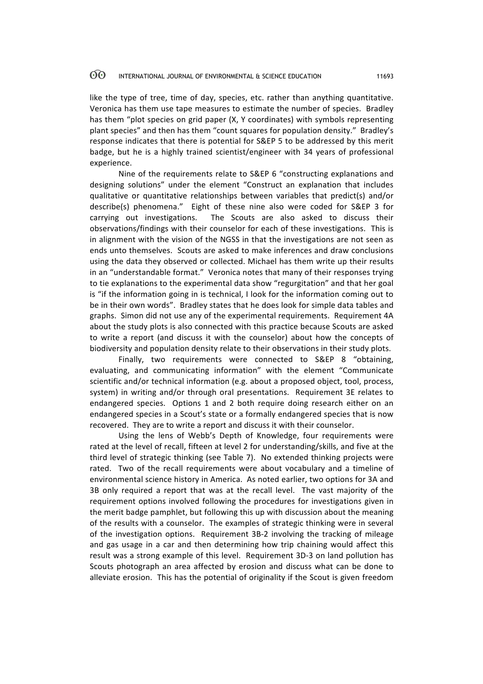like the type of tree, time of day, species, etc. rather than anything quantitative. Veronica has them use tape measures to estimate the number of species. Bradley has them "plot species on grid paper (X, Y coordinates) with symbols representing plant species" and then has them "count squares for population density." Bradley's response indicates that there is potential for S&EP 5 to be addressed by this merit badge, but he is a highly trained scientist/engineer with 34 years of professional experience.

Nine of the requirements relate to S&EP 6 "constructing explanations and designing solutions" under the element "Construct an explanation that includes qualitative or quantitative relationships between variables that predict(s) and/or describe(s) phenomena." Eight of these nine also were coded for S&EP 3 for carrying out investigations. The Scouts are also asked to discuss their observations/findings with their counselor for each of these investigations. This is in alignment with the vision of the NGSS in that the investigations are not seen as ends unto themselves. Scouts are asked to make inferences and draw conclusions using the data they observed or collected. Michael has them write up their results in an "understandable format." Veronica notes that many of their responses trying to tie explanations to the experimental data show "regurgitation" and that her goal is "if the information going in is technical, I look for the information coming out to be in their own words". Bradley states that he does look for simple data tables and graphs. Simon did not use any of the experimental requirements. Requirement 4A about the study plots is also connected with this practice because Scouts are asked to write a report (and discuss it with the counselor) about how the concepts of biodiversity and population density relate to their observations in their study plots.

Finally, two requirements were connected to S&EP 8 "obtaining, evaluating, and communicating information" with the element "Communicate scientific and/or technical information (e.g. about a proposed object, tool, process, system) in writing and/or through oral presentations. Requirement 3E relates to endangered species. Options 1 and 2 both require doing research either on an endangered species in a Scout's state or a formally endangered species that is now recovered. They are to write a report and discuss it with their counselor.

Using the lens of Webb's Depth of Knowledge, four requirements were rated at the level of recall, fifteen at level 2 for understanding/skills, and five at the third level of strategic thinking (see Table 7). No extended thinking projects were rated. Two of the recall requirements were about vocabulary and a timeline of environmental science history in America. As noted earlier, two options for 3A and 3B only required a report that was at the recall level. The vast majority of the requirement options involved following the procedures for investigations given in the merit badge pamphlet, but following this up with discussion about the meaning of the results with a counselor. The examples of strategic thinking were in several of the investigation options. Requirement 3B-2 involving the tracking of mileage and gas usage in a car and then determining how trip chaining would affect this result was a strong example of this level. Requirement 3D-3 on land pollution has Scouts photograph an area affected by erosion and discuss what can be done to alleviate erosion. This has the potential of originality if the Scout is given freedom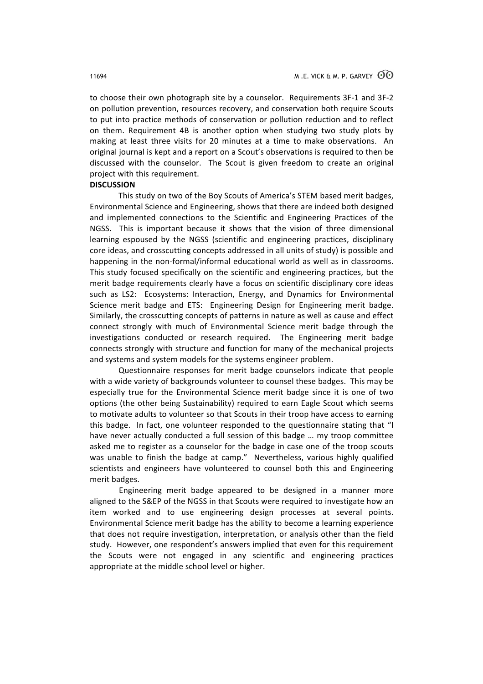to choose their own photograph site by a counselor. Requirements 3F-1 and 3F-2 on pollution prevention, resources recovery, and conservation both require Scouts to put into practice methods of conservation or pollution reduction and to reflect on them. Requirement 4B is another option when studying two study plots by making at least three visits for 20 minutes at a time to make observations. An original journal is kept and a report on a Scout's observations is required to then be discussed with the counselor. The Scout is given freedom to create an original project with this requirement.

### **DISCUSSION**

This study on two of the Boy Scouts of America's STEM based merit badges, Environmental Science and Engineering, shows that there are indeed both designed and implemented connections to the Scientific and Engineering Practices of the NGSS. This is important because it shows that the vision of three dimensional learning espoused by the NGSS (scientific and engineering practices, disciplinary core ideas, and crosscutting concepts addressed in all units of study) is possible and happening in the non-formal/informal educational world as well as in classrooms. This study focused specifically on the scientific and engineering practices, but the merit badge requirements clearly have a focus on scientific disciplinary core ideas such as LS2: Ecosystems: Interaction, Energy, and Dynamics for Environmental Science merit badge and ETS: Engineering Design for Engineering merit badge. Similarly, the crosscutting concepts of patterns in nature as well as cause and effect connect strongly with much of Environmental Science merit badge through the investigations conducted or research required. The Engineering merit badge connects strongly with structure and function for many of the mechanical projects and systems and system models for the systems engineer problem.

Questionnaire responses for merit badge counselors indicate that people with a wide variety of backgrounds volunteer to counsel these badges. This may be especially true for the Environmental Science merit badge since it is one of two options (the other being Sustainability) required to earn Eagle Scout which seems to motivate adults to volunteer so that Scouts in their troop have access to earning this badge. In fact, one volunteer responded to the questionnaire stating that "I have never actually conducted a full session of this badge ... my troop committee asked me to register as a counselor for the badge in case one of the troop scouts was unable to finish the badge at camp." Nevertheless, various highly qualified scientists and engineers have volunteered to counsel both this and Engineering merit badges.

Engineering merit badge appeared to be designed in a manner more aligned to the S&EP of the NGSS in that Scouts were required to investigate how an item worked and to use engineering design processes at several points. Environmental Science merit badge has the ability to become a learning experience that does not require investigation, interpretation, or analysis other than the field study. However, one respondent's answers implied that even for this requirement the Scouts were not engaged in any scientific and engineering practices appropriate at the middle school level or higher.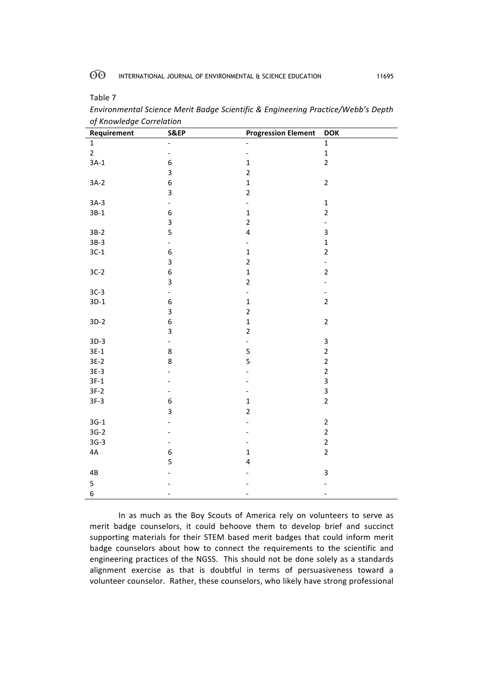Table 7

| oj monicage conciación<br>Requirement | S&EP                     | <b>Progression Element</b> | <b>DOK</b>               |
|---------------------------------------|--------------------------|----------------------------|--------------------------|
| $\mathbf{1}$                          | $\overline{\phantom{0}}$ |                            | $\mathbf{1}$             |
| $\overline{2}$                        | $\overline{\phantom{0}}$ | $\overline{\phantom{a}}$   | $\mathbf 1$              |
| $3A-1$                                | $\boldsymbol{6}$         | $\mathbf 1$                | $\overline{2}$           |
|                                       | 3                        | $\mathbf 2$                |                          |
| $3A-2$                                | 6                        | $\mathbf 1$                | $\mathbf 2$              |
|                                       | 3                        | $\overline{2}$             |                          |
| $3A-3$                                | $\blacksquare$           | $\overline{\phantom{a}}$   | $\mathbf 1$              |
| $3B-1$                                | 6                        | $\mathbf 1$                | $\mathbf 2$              |
|                                       | 3                        | $\overline{2}$             | $\overline{\phantom{0}}$ |
| $3B-2$                                | 5                        | $\overline{\mathbf{4}}$    | $\mathsf 3$              |
| $3B-3$                                | $\frac{1}{2}$            | $\overline{\phantom{0}}$   | $\mathbf 1$              |
| $3C-1$                                | 6                        | $\mathbf 1$                | $\overline{2}$           |
|                                       | $\mathsf 3$              | $\overline{2}$             | $\overline{\phantom{0}}$ |
| $3C-2$                                | 6                        | $\mathbf 1$                | $\mathbf 2$              |
|                                       | 3                        | $\overline{2}$             | $\overline{\phantom{a}}$ |
| $3C-3$                                | $\blacksquare$           | $\overline{\phantom{0}}$   | $\overline{\phantom{0}}$ |
| $3D-1$                                | 6                        | $\mathbf 1$                | $\mathbf 2$              |
|                                       | 3                        | $\mathbf 2$                |                          |
| $3D-2$                                | 6                        | $\mathbf 1$                | $\mathbf 2$              |
|                                       | 3                        | $\overline{2}$             |                          |
| $3D-3$                                | $\Box$                   | $\overline{\phantom{0}}$   | $\mathbf{3}$             |
| $3E-1$                                | 8                        | 5                          | $\mathbf 2$              |
| $3E-2$                                | 8                        | 5                          | $\mathbf 2$              |
| $3E-3$                                |                          |                            | $\mathbf 2$              |
| $3F-1$                                |                          |                            | $\mathbf{3}$             |
| $3F-2$                                |                          |                            | $\mathsf{3}$             |
| $3F-3$                                | 6                        | $\mathbf 1$                | $\overline{2}$           |
|                                       | 3                        | $\overline{2}$             |                          |
| $3G-1$                                |                          |                            | $\mathbf 2$              |
| $3G-2$                                |                          |                            | $\mathbf 2$              |
| $3G-3$                                |                          |                            | $\mathbf 2$              |
| 4A                                    | $\boldsymbol{6}$         | $\mathbf 1$                | $\mathbf 2$              |
|                                       | 5                        | $\overline{\mathbf{4}}$    |                          |
| 4B                                    |                          |                            | $\mathsf 3$              |
| 5                                     |                          |                            |                          |
| 6                                     |                          |                            |                          |

*Environmental Science Merit Badge Scientific & Engineering Practice/Webb's Depth of Knowledge Correlation*

In as much as the Boy Scouts of America rely on volunteers to serve as merit badge counselors, it could behoove them to develop brief and succinct supporting materials for their STEM based merit badges that could inform merit badge counselors about how to connect the requirements to the scientific and engineering practices of the NGSS. This should not be done solely as a standards alignment exercise as that is doubtful in terms of persuasiveness toward a volunteer counselor. Rather, these counselors, who likely have strong professional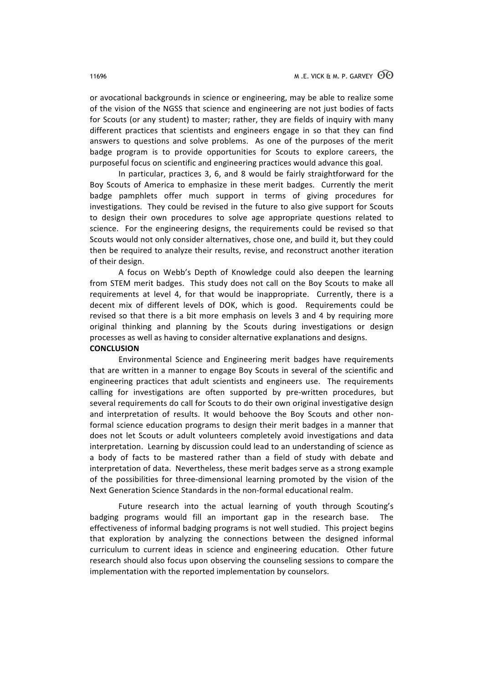or avocational backgrounds in science or engineering, may be able to realize some of the vision of the NGSS that science and engineering are not just bodies of facts for Scouts (or any student) to master; rather, they are fields of inquiry with many different practices that scientists and engineers engage in so that they can find answers to questions and solve problems. As one of the purposes of the merit badge program is to provide opportunities for Scouts to explore careers, the purposeful focus on scientific and engineering practices would advance this goal.

In particular, practices 3, 6, and 8 would be fairly straightforward for the Boy Scouts of America to emphasize in these merit badges. Currently the merit badge pamphlets offer much support in terms of giving procedures for investigations. They could be revised in the future to also give support for Scouts to design their own procedures to solve age appropriate questions related to science. For the engineering designs, the requirements could be revised so that Scouts would not only consider alternatives, chose one, and build it, but they could then be required to analyze their results, revise, and reconstruct another iteration of their design.

A focus on Webb's Depth of Knowledge could also deepen the learning from STEM merit badges. This study does not call on the Boy Scouts to make all requirements at level 4, for that would be inappropriate. Currently, there is a decent mix of different levels of DOK, which is good. Requirements could be revised so that there is a bit more emphasis on levels 3 and 4 by requiring more original thinking and planning by the Scouts during investigations or design processes as well as having to consider alternative explanations and designs.

### **CONCLUSION**

Environmental Science and Engineering merit badges have requirements that are written in a manner to engage Boy Scouts in several of the scientific and engineering practices that adult scientists and engineers use. The requirements calling for investigations are often supported by pre-written procedures, but several requirements do call for Scouts to do their own original investigative design and interpretation of results. It would behoove the Boy Scouts and other nonformal science education programs to design their merit badges in a manner that does not let Scouts or adult volunteers completely avoid investigations and data interpretation. Learning by discussion could lead to an understanding of science as a body of facts to be mastered rather than a field of study with debate and interpretation of data. Nevertheless, these merit badges serve as a strong example of the possibilities for three-dimensional learning promoted by the vision of the Next Generation Science Standards in the non-formal educational realm.

Future research into the actual learning of youth through Scouting's badging programs would fill an important gap in the research base. The effectiveness of informal badging programs is not well studied. This project begins that exploration by analyzing the connections between the designed informal curriculum to current ideas in science and engineering education. Other future research should also focus upon observing the counseling sessions to compare the implementation with the reported implementation by counselors.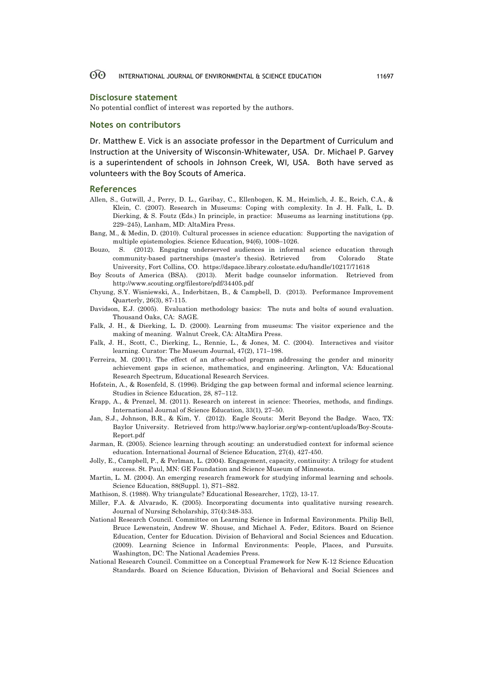### **Disclosure statement**

No potential conflict of interest was reported by the authors.

### **Notes on contributors**

Dr. Matthew E. Vick is an associate professor in the Department of Curriculum and Instruction at the University of Wisconsin-Whitewater, USA. Dr. Michael P. Garvey is a superintendent of schools in Johnson Creek, WI, USA. Both have served as volunteers with the Boy Scouts of America.

### **References**

- Allen, S., Gutwill, J., Perry, D. L., Garibay, C., Ellenbogen, K. M., Heimlich, J. E., Reich, C.A., & Klein, C. (2007). Research in Museums: Coping with complexity. In J. H. Falk, L. D. Dierking, & S. Foutz (Eds.) In principle, in practice: Museums as learning institutions (pp. 229–245), Lanham, MD: AltaMira Press.
- Bang, M., & Medin, D. (2010). Cultural processes in science education: Supporting the navigation of multiple epistemologies. Science Education, 94(6), 1008–1026.
- Bouzo, S. (2012). Engaging underserved audiences in informal science education through community-based partnerships (master's thesis). Retrieved from Colorado State University, Fort Collins, CO. https://dspace.library.colostate.edu/handle/10217/71618
- Boy Scouts of America (BSA). (2013). Merit badge counselor information. Retrieved from http://www.scouting.org/filestore/pdf/34405.pdf
- Chyung, S.Y. Wisniewski, A., Inderbitzen, B., & Campbell, D. (2013). Performance Improvement Quarterly, 26(3), 87-115.
- Davidson, E.J. (2005). Evaluation methodology basics: The nuts and bolts of sound evaluation. Thousand Oaks, CA: SAGE.
- Falk, J. H., & Dierking, L. D. (2000). Learning from museums: The visitor experience and the making of meaning. Walnut Creek, CA: AltaMira Press.
- Falk, J. H., Scott, C., Dierking, L., Rennie, L., & Jones, M. C. (2004). Interactives and visitor learning. Curator: The Museum Journal, 47(2), 171–198.
- Ferreira, M. (2001). The effect of an after-school program addressing the gender and minority achievement gaps in science, mathematics, and engineering. Arlington, VA: Educational Research Spectrum, Educational Research Services.
- Hofstein, A., & Rosenfeld, S. (1996). Bridging the gap between formal and informal science learning. Studies in Science Education, 28, 87–112.
- Krapp, A., & Prenzel, M. (2011). Research on interest in science: Theories, methods, and findings. International Journal of Science Education, 33(1), 27–50.
- Jan, S.J., Johnson, B.R., & Kim, Y. (2012). Eagle Scouts: Merit Beyond the Badge. Waco, TX: Baylor University. Retrieved from http://www.baylorisr.org/wp-content/uploads/Boy-Scouts-Report.pdf
- Jarman, R. (2005). Science learning through scouting: an understudied context for informal science education. International Journal of Science Education, 27(4), 427-450.
- Jolly, E., Campbell, P., & Perlman, L. (2004). Engagement, capacity, continuity: A trilogy for student success. St. Paul, MN: GE Foundation and Science Museum of Minnesota.
- Martin, L. M. (2004). An emerging research framework for studying informal learning and schools. Science Education, 88(Suppl. 1), S71–S82.
- Mathison, S. (1988). Why triangulate? Educational Researcher, 17(2), 13-17.
- Miller, F.A. & Alvarado, K. (2005). Incorporating documents into qualitative nursing research. Journal of Nursing Scholarship, 37(4):348-353.
- National Research Council. Committee on Learning Science in Informal Environments. Philip Bell, Bruce Lewenstein, Andrew W. Shouse, and Michael A. Feder, Editors. Board on Science Education, Center for Education. Division of Behavioral and Social Sciences and Education. (2009). Learning Science in Informal Environments: People, Places, and Pursuits. Washington, DC: The National Academies Press.
- National Research Council. Committee on a Conceptual Framework for New K-12 Science Education Standards. Board on Science Education, Division of Behavioral and Social Sciences and